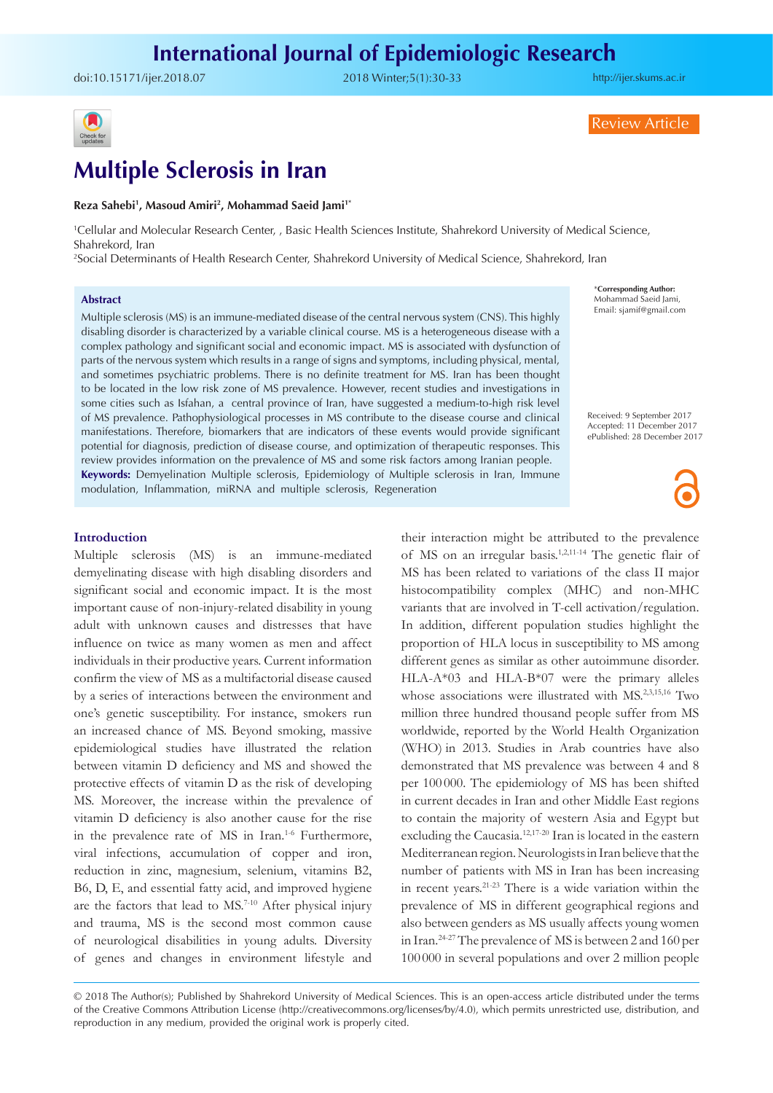doi:[10.15171/ijer.2018.07](https://doi.org/10.15171/ijer.2018.07) 2018 Winter;5(1):30-33

<http://ijer.skums.ac.ir>

Review Article



# **Multiple Sclerosis in Iran**

#### **Reza Sahebi1 , Masoud Amiri2 , Mohammad Saeid Jami1\***

1 Cellular and Molecular Research Center, , Basic Health Sciences Institute, Shahrekord University of Medical Science, Shahrekord, Iran

2 Social Determinants of Health Research Center, Shahrekord University of Medical Science, Shahrekord, Iran

## **Abstract**

Multiple sclerosis (MS) is an immune-mediated disease of the central nervous system (CNS). This highly disabling disorder is characterized by a variable clinical course. MS is a heterogeneous disease with a complex pathology and significant social and economic impact. MS is associated with dysfunction of parts of the nervous system which results in a range of signs and symptoms, including physical, mental, and sometimes psychiatric problems. There is no definite treatment for MS. Iran has been thought to be located in the low risk zone of MS prevalence. However, recent studies and investigations in some cities such as Isfahan, a central province of Iran, have suggested a medium-to-high risk level of MS prevalence. Pathophysiological processes in MS contribute to the disease course and clinical manifestations. Therefore, biomarkers that are indicators of these events would provide significant potential for diagnosis, prediction of disease course, and optimization of therapeutic responses. This review provides information on the prevalence of MS and some risk factors among Iranian people. **Keywords:** Demyelination Multiple sclerosis, Epidemiology of Multiple sclerosis in Iran, Immune modulation, Inflammation, miRNA and multiple sclerosis, Regeneration

\***Corresponding Author:** Mohammad Saeid Jami, Email: sjamif@gmail.com

Received: 9 September 2017 Accepted: 11 December 2017 ePublished: 28 December 2017

## **Introduction**

Multiple sclerosis (MS) is an immune-mediated demyelinating disease with high disabling disorders and significant social and economic impact. It is the most important cause of non-injury-related disability in young adult with unknown causes and distresses that have influence on twice as many women as men and affect individuals in their productive years. Current information confirm the view of MS as a multifactorial disease caused by a series of interactions between the environment and one's genetic susceptibility. For instance, smokers run an increased chance of MS. Beyond smoking, massive epidemiological studies have illustrated the relation between vitamin D deficiency and MS and showed the protective effects of vitamin D as the risk of developing MS. Moreover, the increase within the prevalence of vitamin D deficiency is also another cause for the rise in the prevalence rate of MS in Iran.<sup>1-6</sup> Furthermore, viral infections, accumulation of copper and iron, reduction in zinc, magnesium, selenium, vitamins B2, B6, D, E, and essential fatty acid, and improved hygiene are the factors that lead to MS.7-10 After physical injury and trauma, MS is the second most common cause of neurological disabilities in young adults. Diversity of genes and changes in environment lifestyle and

their interaction might be attributed to the prevalence of MS on an irregular basis.1,2,11-14 The genetic flair of MS has been related to variations of the class II major histocompatibility complex (MHC) and non-MHC variants that are involved in T-cell activation/regulation. In addition, different population studies highlight the proportion of HLA locus in susceptibility to MS among different genes as similar as other autoimmune disorder. HLA-A\*03 and HLA-B\*07 were the primary alleles whose associations were illustrated with MS.<sup>2,3,15,16</sup> Two million three hundred thousand people suffer from MS worldwide, reported by the World Health Organization (WHO) in 2013. Studies in Arab countries have also demonstrated that MS prevalence was between 4 and 8 per 100 000. The epidemiology of MS has been shifted in current decades in Iran and other Middle East regions to contain the majority of western Asia and Egypt but excluding the Caucasia.12,17-20 Iran is located in the eastern Mediterranean region. Neurologists in Iran believe that the number of patients with MS in Iran has been increasing in recent years.21-23 There is a wide variation within the prevalence of MS in different geographical regions and also between genders as MS usually affects young women in Iran.24-27 The prevalence of MS is between 2 and 160 per 100 000 in several populations and over 2 million people

<sup>© 2018</sup> The Author(s); Published by Shahrekord University of Medical Sciences. This is an open-access article distributed under the terms of the Creative Commons Attribution License (http://creativecommons.org/licenses/by/4.0), which permits unrestricted use, distribution, and reproduction in any medium, provided the original work is properly cited.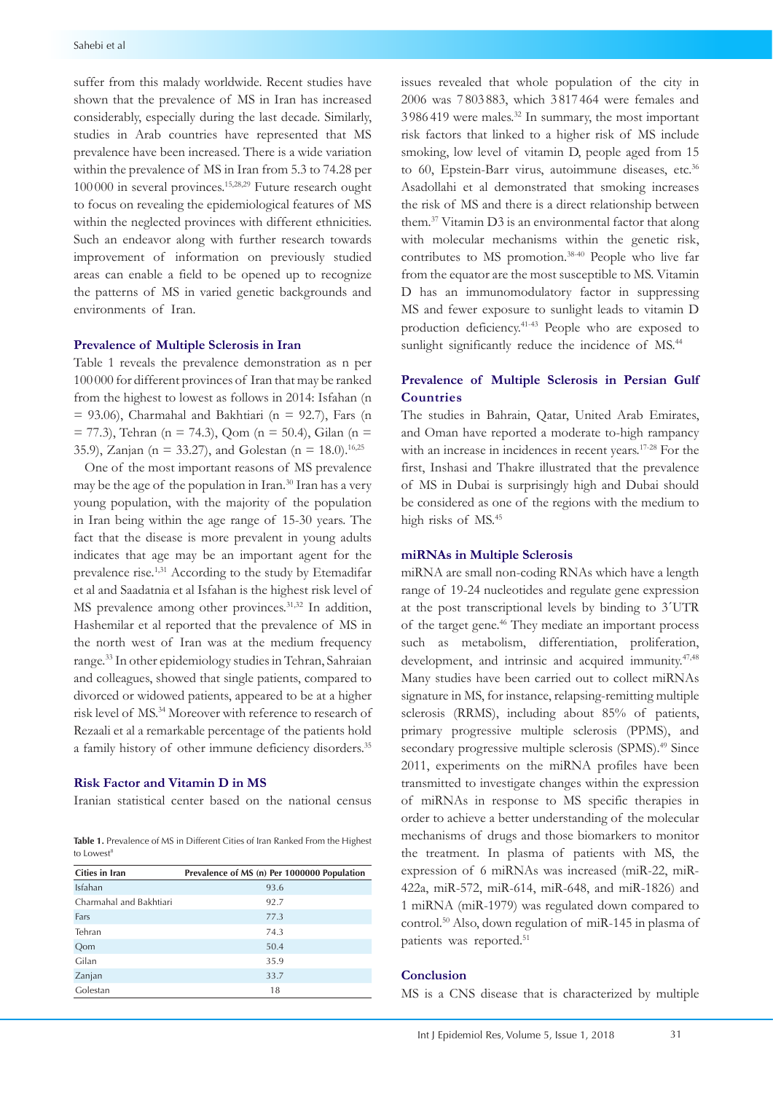suffer from this malady worldwide. Recent studies have shown that the prevalence of MS in Iran has increased considerably, especially during the last decade. Similarly, studies in Arab countries have represented that MS prevalence have been increased. There is a wide variation within the prevalence of MS in Iran from 5.3 to 74.28 per 100 000 in several provinces.15,28,29 Future research ought to focus on revealing the epidemiological features of MS within the neglected provinces with different ethnicities. Such an endeavor along with further research towards improvement of information on previously studied areas can enable a field to be opened up to recognize the patterns of MS in varied genetic backgrounds and environments of Iran.

## **Prevalence of Multiple Sclerosis in Iran**

Table 1 reveals the prevalence demonstration as n per 100 000 for different provinces of Iran that may be ranked from the highest to lowest as follows in 2014: Isfahan (n  $= 93.06$ ), Charmahal and Bakhtiari (n  $= 92.7$ ), Fars (n  $= 77.3$ ), Tehran (n = 74.3), Qom (n = 50.4), Gilan (n = 35.9), Zanjan (n = 33.27), and Golestan (n = 18.0).<sup>16,25</sup>

One of the most important reasons of MS prevalence may be the age of the population in Iran.<sup>30</sup> Iran has a very young population, with the majority of the population in Iran being within the age range of 15-30 years. The fact that the disease is more prevalent in young adults indicates that age may be an important agent for the prevalence rise.<sup>1,31</sup> According to the study by Etemadifar et al and Saadatnia et al Isfahan is the highest risk level of MS prevalence among other provinces.<sup>31,32</sup> In addition, Hashemilar et al reported that the prevalence of MS in the north west of Iran was at the medium frequency range.33 In other epidemiology studies in Tehran, Sahraian and colleagues, showed that single patients, compared to divorced or widowed patients, appeared to be at a higher risk level of MS.34 Moreover with reference to research of Rezaali et al a remarkable percentage of the patients hold a family history of other immune deficiency disorders.<sup>35</sup>

## **Risk Factor and Vitamin D in MS**

Iranian statistical center based on the national census

**Table 1.** Prevalence of MS in Different Cities of Iran Ranked From the Highest to Lowest<sup>8</sup>

| Cities in Iran          | Prevalence of MS (n) Per 1000000 Population |
|-------------------------|---------------------------------------------|
| Isfahan                 | 93.6                                        |
| Charmahal and Bakhtiari | 92.7                                        |
| Fars                    | 77.3                                        |
| Tehran                  | 74.3                                        |
| Qom                     | 50.4                                        |
| Gilan                   | 35.9                                        |
| Zanjan                  | 33.7                                        |
| Golestan                | 18                                          |

issues revealed that whole population of the city in 2006 was 7 803 883, which 3 817 464 were females and 3 986 419 were males.32 In summary, the most important risk factors that linked to a higher risk of MS include smoking, low level of vitamin D, people aged from 15 to 60, Epstein-Barr virus, autoimmune diseases, etc.<sup>36</sup> Asadollahi et al demonstrated that smoking increases the risk of MS and there is a direct relationship between them. <sup>37</sup> Vitamin D3 is an environmental factor that along with molecular mechanisms within the genetic risk, contributes to MS promotion. 38-40 People who live far from the equator are the most susceptible to MS. Vitamin D has an immunomodulatory factor in suppressing MS and fewer exposure to sunlight leads to vitamin D production deficiency. 41-43 People who are exposed to sunlight significantly reduce the incidence of MS.<sup>44</sup>

# **Prevalence of Multiple Sclerosis in Persian Gulf Countries**

The studies in Bahrain, Qatar, United Arab Emirates, and Oman have reported a moderate to-high rampancy with an increase in incidences in recent years.<sup>17-28</sup> For the first, Inshasi and Thakre illustrated that the prevalence of MS in Dubai is surprisingly high and Dubai should be considered as one of the regions with the medium to high risks of MS. 45

#### **miRNAs in Multiple Sclerosis**

miRNA are small non-coding RNAs which have a length range of 19-24 nucleotides and regulate gene expression at the post transcriptional levels by binding to 3´UTR of the target gene.<sup>46</sup> They mediate an important process such as metabolism, differentiation, proliferation, development, and intrinsic and acquired immunity.<sup>47,48</sup> Many studies have been carried out to collect miRNAs signature in MS, for instance, relapsing-remitting multiple sclerosis (RRMS), including about 85% of patients, primary progressive multiple sclerosis (PPMS), and secondary progressive multiple sclerosis (SPMS).<sup>49</sup> Since 2011, experiments on the miRNA profiles have been transmitted to investigate changes within the expression of miRNAs in response to MS specific therapies in order to achieve a better understanding of the molecular mechanisms of drugs and those biomarkers to monitor the treatment. In plasma of patients with MS, the expression of 6 miRNAs was increased (miR-22, miR-422a, miR-572, miR-614, miR-648, and miR-1826) and 1 miRNA (miR-1979) was regulated down compared to control.50 Also, down regulation of miR-145 in plasma of patients was reported.<sup>51</sup>

## **Conclusion**

MS is a CNS disease that is characterized by multiple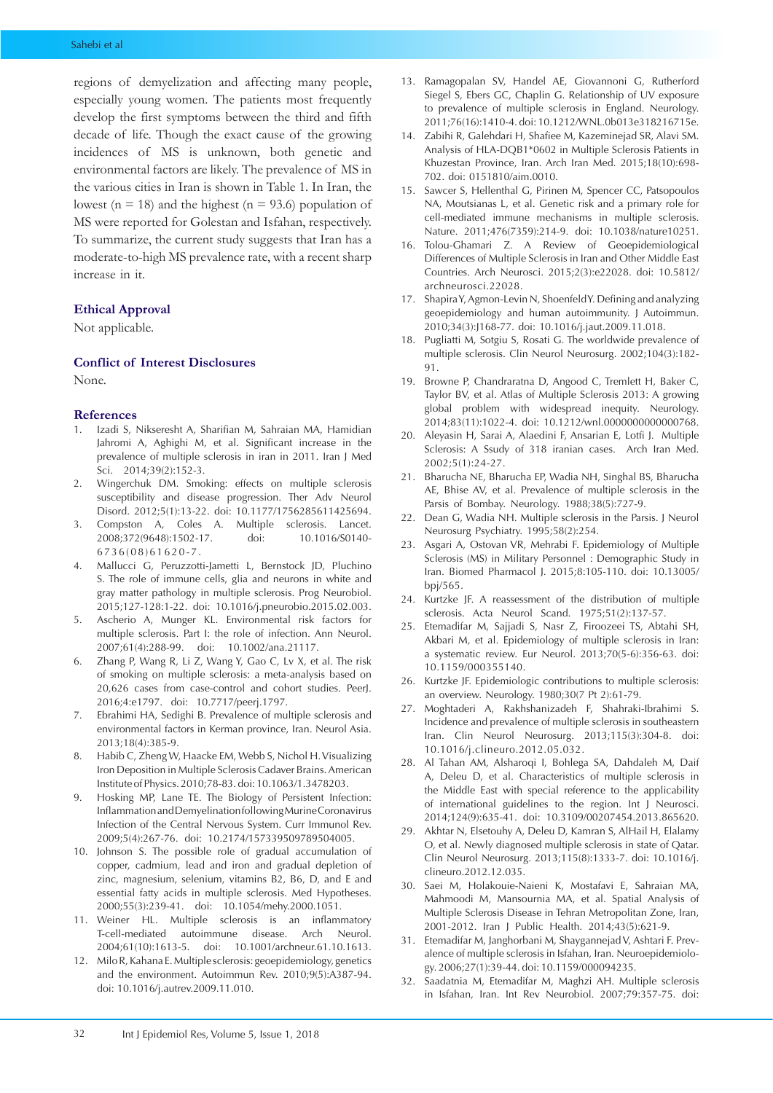regions of demyelization and affecting many people, especially young women. The patients most frequently develop the first symptoms between the third and fifth decade of life. Though the exact cause of the growing incidences of MS is unknown, both genetic and environmental factors are likely. The prevalence of MS in the various cities in Iran is shown in Table 1. In Iran, the lowest ( $n = 18$ ) and the highest ( $n = 93.6$ ) population of MS were reported for Golestan and Isfahan, respectively. To summarize, the current study suggests that Iran has a moderate-to-high MS prevalence rate, with a recent sharp increase in it.

## **Ethical Approval**

Not applicable.

# **Conflict of Interest Disclosures**

None.

#### **References**

- 1. Izadi S, Nikseresht A, Sharifian M, Sahraian MA, Hamidian Jahromi A, Aghighi M, et al. Significant increase in the prevalence of multiple sclerosis in iran in 2011. Iran J Med Sci. 2014;39(2):152-3.
- 2. Wingerchuk DM. Smoking: effects on multiple sclerosis susceptibility and disease progression. Ther Adv Neurol Disord. 2012;5(1):13-22. doi: 10.1177/1756285611425694.
- 3. Compston A, Coles A. Multiple sclerosis. Lancet. 2008;372(9648):1502-17. doi: 10.1016/S0140-  $6736(08)61620 - 7$ .
- 4. Mallucci G, Peruzzotti-Jametti L, Bernstock JD, Pluchino S. The role of immune cells, glia and neurons in white and gray matter pathology in multiple sclerosis. Prog Neurobiol. 2015;127-128:1-22. doi: 10.1016/j.pneurobio.2015.02.003.
- 5. Ascherio A, Munger KL. Environmental risk factors for multiple sclerosis. Part I: the role of infection. Ann Neurol. 2007;61(4):288-99. doi: 10.1002/ana.21117.
- 6. Zhang P, Wang R, Li Z, Wang Y, Gao C, Lv X, et al. The risk of smoking on multiple sclerosis: a meta-analysis based on 20,626 cases from case-control and cohort studies. PeerJ. 2016;4:e1797. doi: 10.7717/peerj.1797.
- 7. Ebrahimi HA, Sedighi B. Prevalence of multiple sclerosis and environmental factors in Kerman province, Iran. Neurol Asia. 2013;18(4):385-9.
- 8. Habib C, Zheng W, Haacke EM, Webb S, Nichol H. Visualizing Iron Deposition in Multiple Sclerosis Cadaver Brains. American Institute of Physics. 2010;78-83. doi: 10.1063/1.3478203.
- Hosking MP, Lane TE. The Biology of Persistent Infection: Inflammation and Demyelination following Murine Coronavirus Infection of the Central Nervous System. Curr Immunol Rev. 2009;5(4):267-76. doi: 10.2174/157339509789504005.
- 10. Johnson S. The possible role of gradual accumulation of copper, cadmium, lead and iron and gradual depletion of zinc, magnesium, selenium, vitamins B2, B6, D, and E and essential fatty acids in multiple sclerosis. Med Hypotheses. 2000;55(3):239-41. doi: 10.1054/mehy.2000.1051.
- 11. Weiner HL. Multiple sclerosis is an inflammatory T-cell-mediated autoimmune disease. Arch Neurol. 2004;61(10):1613-5. doi: 10.1001/archneur.61.10.1613.
- 12. Milo R, Kahana E. Multiple sclerosis: geoepidemiology, genetics and the environment. Autoimmun Rev. 2010;9(5):A387-94. doi: 10.1016/j.autrev.2009.11.010.
- 13. Ramagopalan SV, Handel AE, Giovannoni G, Rutherford Siegel S, Ebers GC, Chaplin G. Relationship of UV exposure to prevalence of multiple sclerosis in England. Neurology. 2011;76(16):1410-4. doi: 10.1212/WNL.0b013e318216715e.
- 14. Zabihi R, Galehdari H, Shafiee M, Kazeminejad SR, Alavi SM. Analysis of HLA-DQB1\*0602 in Multiple Sclerosis Patients in Khuzestan Province, Iran. Arch Iran Med. 2015;18(10):698- 702. doi: 0151810/aim.0010.
- 15. Sawcer S, Hellenthal G, Pirinen M, Spencer CC, Patsopoulos NA, Moutsianas L, et al. Genetic risk and a primary role for cell-mediated immune mechanisms in multiple sclerosis. Nature. 2011;476(7359):214-9. doi: 10.1038/nature10251.
- 16. Tolou-Ghamari Z. A Review of Geoepidemiological Differences of Multiple Sclerosis in Iran and Other Middle East Countries. Arch Neurosci. 2015;2(3):e22028. doi: 10.5812/ archneurosci.22028.
- 17. Shapira Y, Agmon-Levin N, Shoenfeld Y. Defining and analyzing geoepidemiology and human autoimmunity. J Autoimmun. 2010;34(3):J168-77. doi: 10.1016/j.jaut.2009.11.018.
- 18. Pugliatti M, Sotgiu S, Rosati G. The worldwide prevalence of multiple sclerosis. Clin Neurol Neurosurg. 2002;104(3):182- 91.
- 19. Browne P, Chandraratna D, Angood C, Tremlett H, Baker C, Taylor BV, et al. Atlas of Multiple Sclerosis 2013: A growing global problem with widespread inequity. Neurology. 2014;83(11):1022-4. doi: 10.1212/wnl.0000000000000768.
- 20. Aleyasin H, Sarai A, Alaedini F, Ansarian E, Lotfi J. Multiple Sclerosis: A Ssudy of 318 iranian cases. Arch Iran Med. 2002;5(1):24-27.
- 21. Bharucha NE, Bharucha EP, Wadia NH, Singhal BS, Bharucha AE, Bhise AV, et al. Prevalence of multiple sclerosis in the Parsis of Bombay. Neurology. 1988;38(5):727-9.
- 22. Dean G, Wadia NH. Multiple sclerosis in the Parsis. J Neurol Neurosurg Psychiatry. 1995;58(2):254.
- 23. Asgari A, Ostovan VR, Mehrabi F. Epidemiology of Multiple Sclerosis (MS) in Military Personnel : Demographic Study in Iran. Biomed Pharmacol J. 2015;8:105-110. doi: 10.13005/ bpj/565.
- 24. Kurtzke JF. A reassessment of the distribution of multiple sclerosis. Acta Neurol Scand. 1975;51(2):137-57.
- 25. Etemadifar M, Sajjadi S, Nasr Z, Firoozeei TS, Abtahi SH, Akbari M, et al. Epidemiology of multiple sclerosis in Iran: a systematic review. Eur Neurol. 2013;70(5-6):356-63. doi: 10.1159/000355140.
- 26. Kurtzke JF. Epidemiologic contributions to multiple sclerosis: an overview. Neurology. 1980;30(7 Pt 2):61-79.
- 27. Moghtaderi A, Rakhshanizadeh F, Shahraki-Ibrahimi S. Incidence and prevalence of multiple sclerosis in southeastern Iran. Clin Neurol Neurosurg. 2013;115(3):304-8. doi: 10.1016/j.clineuro.2012.05.032.
- 28. Al Tahan AM, Alsharoqi I, Bohlega SA, Dahdaleh M, Daif A, Deleu D, et al. Characteristics of multiple sclerosis in the Middle East with special reference to the applicability of international guidelines to the region. Int J Neurosci. 2014;124(9):635-41. doi: 10.3109/00207454.2013.865620.
- 29. Akhtar N, Elsetouhy A, Deleu D, Kamran S, AlHail H, Elalamy O, et al. Newly diagnosed multiple sclerosis in state of Qatar. Clin Neurol Neurosurg. 2013;115(8):1333-7. doi: 10.1016/j. clineuro.2012.12.035.
- 30. Saei M, Holakouie-Naieni K, Mostafavi E, Sahraian MA, Mahmoodi M, Mansournia MA, et al. Spatial Analysis of Multiple Sclerosis Disease in Tehran Metropolitan Zone, Iran, 2001-2012. Iran J Public Health. 2014;43(5):621-9.
- 31. Etemadifar M, Janghorbani M, Shaygannejad V, Ashtari F. Prevalence of multiple sclerosis in Isfahan, Iran. Neuroepidemiology. 2006;27(1):39-44. doi: 10.1159/000094235.
- 32. Saadatnia M, Etemadifar M, Maghzi AH. Multiple sclerosis in Isfahan, Iran. Int Rev Neurobiol. 2007;79:357-75. doi: